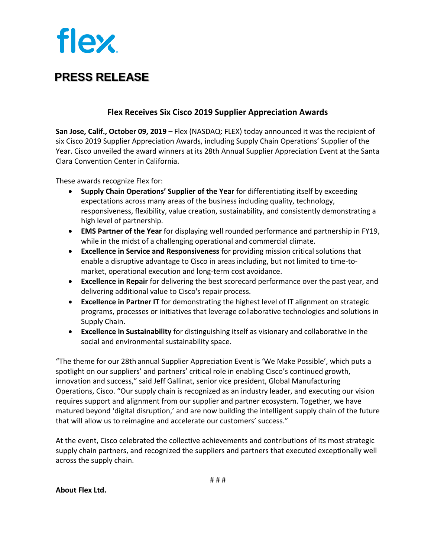## **flex**

## **PRESS RELEASE**

## **Flex Receives Six Cisco 2019 Supplier Appreciation Awards**

**San Jose, Calif., October 09, 2019** – Flex (NASDAQ: FLEX) today announced it was the recipient of six Cisco 2019 Supplier Appreciation Awards, including Supply Chain Operations' Supplier of the Year. Cisco unveiled the award winners at its 28th Annual Supplier Appreciation Event at the Santa Clara Convention Center in California.

These awards recognize Flex for:

- **Supply Chain Operations' Supplier of the Year** for differentiating itself by exceeding expectations across many areas of the business including quality, technology, responsiveness, flexibility, value creation, sustainability, and consistently demonstrating a high level of partnership.
- **EMS Partner of the Year** for displaying well rounded performance and partnership in FY19, while in the midst of a challenging operational and commercial climate.
- **Excellence in Service and Responsiveness** for providing mission critical solutions that enable a disruptive advantage to Cisco in areas including, but not limited to time-tomarket, operational execution and long-term cost avoidance.
- **Excellence in Repair** for delivering the best scorecard performance over the past year, and delivering additional value to Cisco's repair process.
- **Excellence in Partner IT** for demonstrating the highest level of IT alignment on strategic programs, processes or initiatives that leverage collaborative technologies and solutions in Supply Chain.
- **Excellence in Sustainability** for distinguishing itself as visionary and collaborative in the social and environmental sustainability space.

"The theme for our 28th annual Supplier Appreciation Event is 'We Make Possible', which puts a spotlight on our suppliers' and partners' critical role in enabling Cisco's continued growth, innovation and success," said Jeff Gallinat, senior vice president, Global Manufacturing Operations, Cisco. "Our supply chain is recognized as an industry leader, and executing our vision requires support and alignment from our supplier and partner ecosystem. Together, we have matured beyond 'digital disruption,' and are now building the intelligent supply chain of the future that will allow us to reimagine and accelerate our customers' success."

At the event, Cisco celebrated the collective achievements and contributions of its most strategic supply chain partners, and recognized the suppliers and partners that executed exceptionally well across the supply chain.

**About Flex Ltd.**